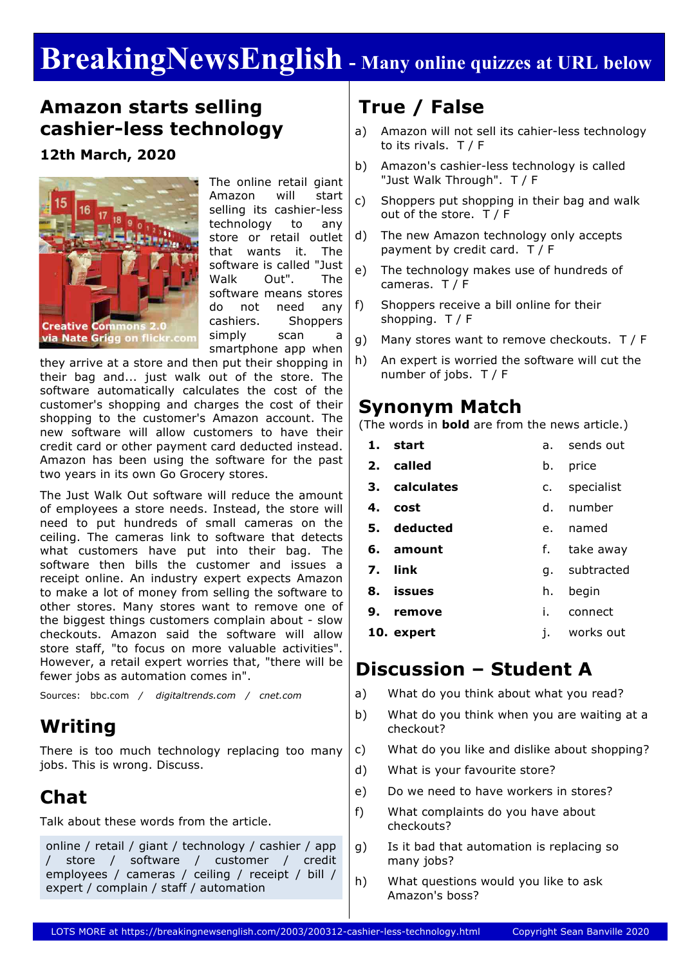# **BreakingNewsEnglish - Many online quizzes at URL below**

## **Amazon starts selling cashier-less technology**

**12th March, 2020**



The online retail giant Amazon will start selling its cashier-less technology to any store or retail outlet that wants it. The software is called "Just Walk Out". The software means stores do not need any cashiers. Shoppers simply scan a smartphone app when

they arrive at a store and then put their shopping in their bag and... just walk out of the store. The software automatically calculates the cost of the customer's shopping and charges the cost of their shopping to the customer's Amazon account. The new software will allow customers to have their credit card or other payment card deducted instead. Amazon has been using the software for the past two years in its own Go Grocery stores.

The Just Walk Out software will reduce the amount of employees a store needs. Instead, the store will need to put hundreds of small cameras on the ceiling. The cameras link to software that detects what customers have put into their bag. The software then bills the customer and issues a receipt online. An industry expert expects Amazon to make a lot of money from selling the software to other stores. Many stores want to remove one of the biggest things customers complain about - slow checkouts. Amazon said the software will allow store staff, "to focus on more valuable activities". However, a retail expert worries that, "there will be fewer jobs as automation comes in".

Sources: bbc.com */ digitaltrends.com / cnet.com*

### **Writing**

There is too much technology replacing too many jobs. This is wrong. Discuss.

# **Chat**

Talk about these words from the article.

online / retail / giant / technology / cashier / app / store / software / customer / credit employees / cameras / ceiling / receipt / bill / expert / complain / staff / automation

# **True / False**

- a) Amazon will not sell its cahier-less technology to its rivals. T / F
- b) Amazon's cashier-less technology is called "Just Walk Through". T / F
- c) Shoppers put shopping in their bag and walk out of the store. T / F
- d) The new Amazon technology only accepts payment by credit card. T / F
- e) The technology makes use of hundreds of cameras. T / F
- f) Shoppers receive a bill online for their shopping. T / F
- g) Many stores want to remove checkouts. T / F
- h) An expert is worried the software will cut the number of jobs. T / F

### **Synonym Match**

(The words in **bold** are from the news article.)

- **1. start 2. called** a. sends out b. price
- **3. calculates** c. specialist
- **4. cost**
- d. number
- **5. deducted** e. named
- **6. amount** f. take away
- **7. link** g. subtracted
- **8. issues** h. begin
- **9. remove** i. connect
- **10. expert** j. works out

### **Discussion – Student A**

- a) What do you think about what you read?
- b) What do you think when you are waiting at a checkout?
- c) What do you like and dislike about shopping?
- d) What is your favourite store?
- e) Do we need to have workers in stores?
- f) What complaints do you have about checkouts?
- g) Is it bad that automation is replacing so many jobs?
- h) What questions would you like to ask Amazon's boss?